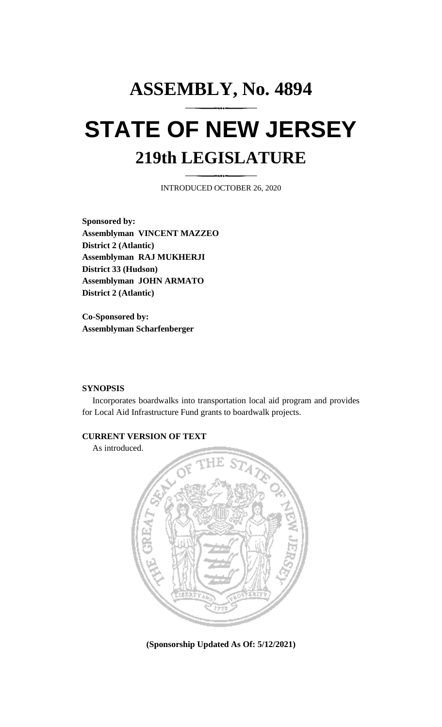# **ASSEMBLY, No. 4894 STATE OF NEW JERSEY 219th LEGISLATURE**

INTRODUCED OCTOBER 26, 2020

**Sponsored by: Assemblyman VINCENT MAZZEO District 2 (Atlantic) Assemblyman RAJ MUKHERJI District 33 (Hudson) Assemblyman JOHN ARMATO District 2 (Atlantic)**

**Co-Sponsored by: Assemblyman Scharfenberger**

#### **SYNOPSIS**

Incorporates boardwalks into transportation local aid program and provides for Local Aid Infrastructure Fund grants to boardwalk projects.

## **CURRENT VERSION OF TEXT**

As introduced.



**(Sponsorship Updated As Of: 5/12/2021)**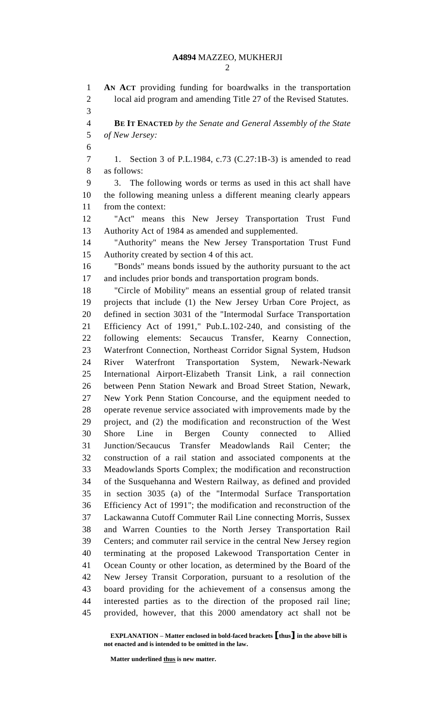**AN ACT** providing funding for boardwalks in the transportation local aid program and amending Title 27 of the Revised Statutes. **BE IT ENACTED** *by the Senate and General Assembly of the State of New Jersey:* 1. Section 3 of P.L.1984, c.73 (C.27:1B-3) is amended to read as follows: 3. The following words or terms as used in this act shall have the following meaning unless a different meaning clearly appears from the context: "Act" means this New Jersey Transportation Trust Fund Authority Act of 1984 as amended and supplemented. "Authority" means the New Jersey Transportation Trust Fund Authority created by section 4 of this act. "Bonds" means bonds issued by the authority pursuant to the act and includes prior bonds and transportation program bonds. "Circle of Mobility" means an essential group of related transit projects that include (1) the New Jersey Urban Core Project, as defined in section 3031 of the "Intermodal Surface Transportation Efficiency Act of 1991," Pub.L.102-240, and consisting of the following elements: Secaucus Transfer, Kearny Connection, Waterfront Connection, Northeast Corridor Signal System, Hudson River Waterfront Transportation System, Newark-Newark International Airport-Elizabeth Transit Link, a rail connection between Penn Station Newark and Broad Street Station, Newark, New York Penn Station Concourse, and the equipment needed to operate revenue service associated with improvements made by the project, and (2) the modification and reconstruction of the West Shore Line in Bergen County connected to Allied Junction/Secaucus Transfer Meadowlands Rail Center; the construction of a rail station and associated components at the Meadowlands Sports Complex; the modification and reconstruction of the Susquehanna and Western Railway, as defined and provided in section 3035 (a) of the "Intermodal Surface Transportation Efficiency Act of 1991"; the modification and reconstruction of the Lackawanna Cutoff Commuter Rail Line connecting Morris, Sussex and Warren Counties to the North Jersey Transportation Rail Centers; and commuter rail service in the central New Jersey region terminating at the proposed Lakewood Transportation Center in Ocean County or other location, as determined by the Board of the New Jersey Transit Corporation, pursuant to a resolution of the board providing for the achievement of a consensus among the interested parties as to the direction of the proposed rail line; provided, however, that this 2000 amendatory act shall not be

**EXPLANATION – Matter enclosed in bold-faced brackets [thus] in the above bill is not enacted and is intended to be omitted in the law.**

**Matter underlined thus is new matter.**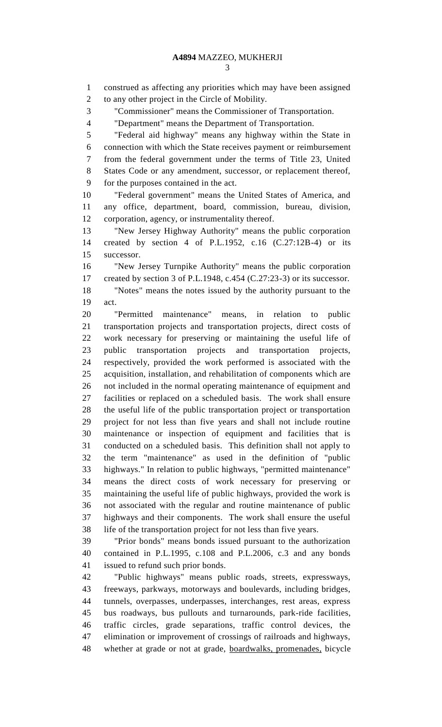construed as affecting any priorities which may have been assigned

"Commissioner" means the Commissioner of Transportation.

to any other project in the Circle of Mobility.

 "Department" means the Department of Transportation. "Federal aid highway" means any highway within the State in connection with which the State receives payment or reimbursement from the federal government under the terms of Title 23, United States Code or any amendment, successor, or replacement thereof, for the purposes contained in the act. "Federal government" means the United States of America, and any office, department, board, commission, bureau, division, corporation, agency, or instrumentality thereof. "New Jersey Highway Authority" means the public corporation created by section 4 of P.L.1952, c.16 (C.27:12B-4) or its successor. "New Jersey Turnpike Authority" means the public corporation created by section 3 of P.L.1948, c.454 (C.27:23-3) or its successor. "Notes" means the notes issued by the authority pursuant to the act. "Permitted maintenance" means, in relation to public transportation projects and transportation projects, direct costs of work necessary for preserving or maintaining the useful life of public transportation projects and transportation projects, respectively, provided the work performed is associated with the acquisition, installation, and rehabilitation of components which are not included in the normal operating maintenance of equipment and facilities or replaced on a scheduled basis. The work shall ensure the useful life of the public transportation project or transportation project for not less than five years and shall not include routine maintenance or inspection of equipment and facilities that is conducted on a scheduled basis. This definition shall not apply to the term "maintenance" as used in the definition of "public highways." In relation to public highways, "permitted maintenance" means the direct costs of work necessary for preserving or maintaining the useful life of public highways, provided the work is not associated with the regular and routine maintenance of public highways and their components. The work shall ensure the useful life of the transportation project for not less than five years. "Prior bonds" means bonds issued pursuant to the authorization contained in P.L.1995, c.108 and P.L.2006, c.3 and any bonds issued to refund such prior bonds. "Public highways" means public roads, streets, expressways, freeways, parkways, motorways and boulevards, including bridges, tunnels, overpasses, underpasses, interchanges, rest areas, express bus roadways, bus pullouts and turnarounds, park-ride facilities, traffic circles, grade separations, traffic control devices, the elimination or improvement of crossings of railroads and highways, whether at grade or not at grade, boardwalks, promenades, bicycle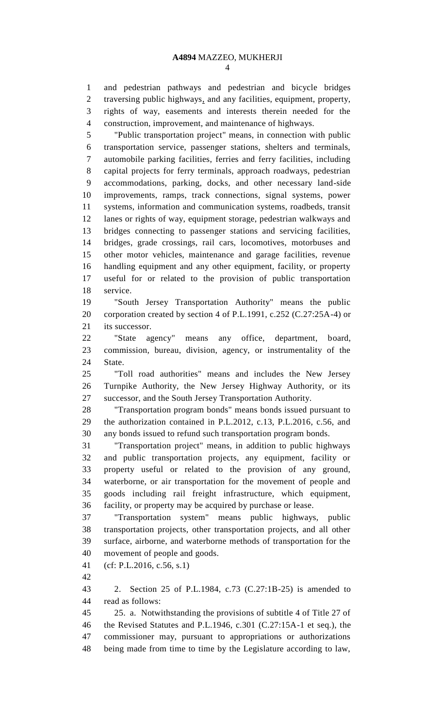and pedestrian pathways and pedestrian and bicycle bridges traversing public highways, and any facilities, equipment, property, rights of way, easements and interests therein needed for the construction, improvement, and maintenance of highways.

 "Public transportation project" means, in connection with public transportation service, passenger stations, shelters and terminals, automobile parking facilities, ferries and ferry facilities, including capital projects for ferry terminals, approach roadways, pedestrian accommodations, parking, docks, and other necessary land-side improvements, ramps, track connections, signal systems, power systems, information and communication systems, roadbeds, transit lanes or rights of way, equipment storage, pedestrian walkways and bridges connecting to passenger stations and servicing facilities, bridges, grade crossings, rail cars, locomotives, motorbuses and other motor vehicles, maintenance and garage facilities, revenue handling equipment and any other equipment, facility, or property useful for or related to the provision of public transportation service.

 "South Jersey Transportation Authority" means the public corporation created by section 4 of P.L.1991, c.252 (C.27:25A-4) or its successor.

 "State agency" means any office, department, board, commission, bureau, division, agency, or instrumentality of the State.

 "Toll road authorities" means and includes the New Jersey Turnpike Authority, the New Jersey Highway Authority, or its successor, and the South Jersey Transportation Authority.

 "Transportation program bonds" means bonds issued pursuant to the authorization contained in P.L.2012, c.13, P.L.2016, c.56, and any bonds issued to refund such transportation program bonds.

 "Transportation project" means, in addition to public highways and public transportation projects, any equipment, facility or property useful or related to the provision of any ground, waterborne, or air transportation for the movement of people and goods including rail freight infrastructure, which equipment, facility, or property may be acquired by purchase or lease.

 "Transportation system" means public highways, public transportation projects, other transportation projects, and all other surface, airborne, and waterborne methods of transportation for the movement of people and goods.

(cf: P.L.2016, c.56, s.1)

 2. Section 25 of P.L.1984, c.73 (C.27:1B-25) is amended to read as follows:

 25. a. Notwithstanding the provisions of subtitle 4 of Title 27 of the Revised Statutes and P.L.1946, c.301 (C.27:15A-1 et seq.), the commissioner may, pursuant to appropriations or authorizations being made from time to time by the Legislature according to law,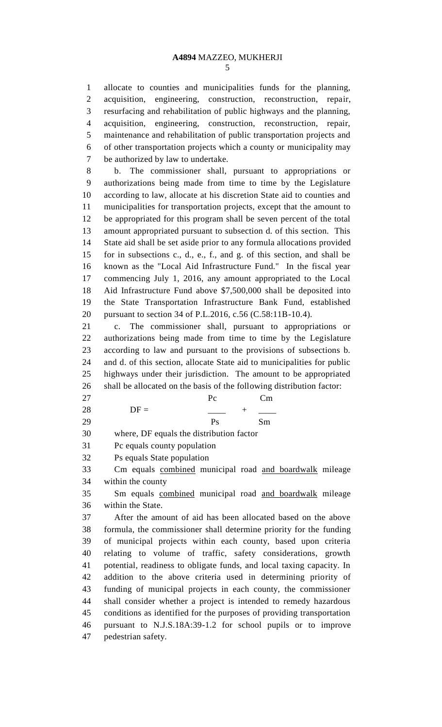allocate to counties and municipalities funds for the planning, acquisition, engineering, construction, reconstruction, repair, resurfacing and rehabilitation of public highways and the planning, acquisition, engineering, construction, reconstruction, repair, maintenance and rehabilitation of public transportation projects and of other transportation projects which a county or municipality may be authorized by law to undertake.

 b. The commissioner shall, pursuant to appropriations or authorizations being made from time to time by the Legislature according to law, allocate at his discretion State aid to counties and municipalities for transportation projects, except that the amount to be appropriated for this program shall be seven percent of the total amount appropriated pursuant to subsection d. of this section. This State aid shall be set aside prior to any formula allocations provided for in subsections c., d., e., f., and g. of this section, and shall be known as the "Local Aid Infrastructure Fund." In the fiscal year commencing July 1, 2016, any amount appropriated to the Local Aid Infrastructure Fund above \$7,500,000 shall be deposited into the State Transportation Infrastructure Bank Fund, established pursuant to section 34 of P.L.2016, c.56 (C.58:11B-10.4).

 c. The commissioner shall, pursuant to appropriations or authorizations being made from time to time by the Legislature according to law and pursuant to the provisions of subsections b. and d. of this section, allocate State aid to municipalities for public highways under their jurisdiction. The amount to be appropriated shall be allocated on the basis of the following distribution factor:

| 27 |        | Pc | Cm |
|----|--------|----|----|
| 28 | $DF =$ |    |    |
| 29 |        | Ps | Sm |

where, DF equals the distribution factor

Pc equals county population

Ps equals State population

 Cm equals combined municipal road and boardwalk mileage within the county

 Sm equals combined municipal road and boardwalk mileage within the State.

 After the amount of aid has been allocated based on the above formula, the commissioner shall determine priority for the funding of municipal projects within each county, based upon criteria relating to volume of traffic, safety considerations, growth potential, readiness to obligate funds, and local taxing capacity. In addition to the above criteria used in determining priority of funding of municipal projects in each county, the commissioner shall consider whether a project is intended to remedy hazardous conditions as identified for the purposes of providing transportation pursuant to N.J.S.18A:39-1.2 for school pupils or to improve pedestrian safety.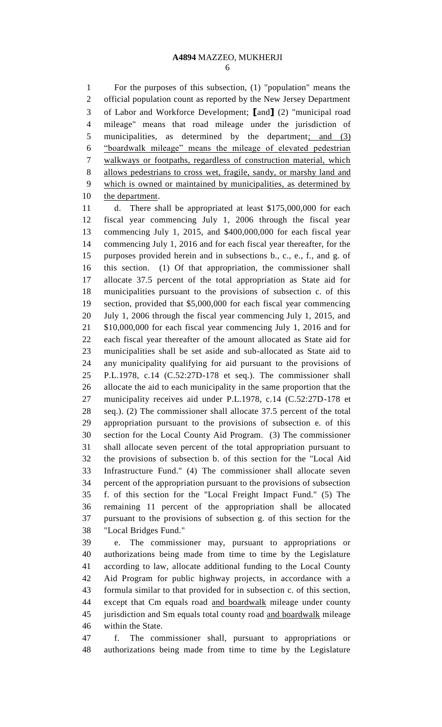#### **A4894** MAZZEO, MUKHERJI

 For the purposes of this subsection, (1) "population" means the official population count as reported by the New Jersey Department of Labor and Workforce Development; **[**and**]** (2) "municipal road mileage" means that road mileage under the jurisdiction of 5 municipalities, as determined by the department; and (3) "boardwalk mileage" means the mileage of elevated pedestrian walkways or footpaths, regardless of construction material, which allows pedestrians to cross wet, fragile, sandy, or marshy land and which is owned or maintained by municipalities, as determined by 10 the department.

 d. There shall be appropriated at least \$175,000,000 for each fiscal year commencing July 1, 2006 through the fiscal year commencing July 1, 2015, and \$400,000,000 for each fiscal year commencing July 1, 2016 and for each fiscal year thereafter, for the purposes provided herein and in subsections b., c., e., f., and g. of this section. (1) Of that appropriation, the commissioner shall allocate 37.5 percent of the total appropriation as State aid for municipalities pursuant to the provisions of subsection c. of this section, provided that \$5,000,000 for each fiscal year commencing July 1, 2006 through the fiscal year commencing July 1, 2015, and \$10,000,000 for each fiscal year commencing July 1, 2016 and for each fiscal year thereafter of the amount allocated as State aid for municipalities shall be set aside and sub-allocated as State aid to any municipality qualifying for aid pursuant to the provisions of P.L.1978, c.14 (C.52:27D-178 et seq.). The commissioner shall allocate the aid to each municipality in the same proportion that the municipality receives aid under P.L.1978, c.14 (C.52:27D-178 et seq.). (2) The commissioner shall allocate 37.5 percent of the total appropriation pursuant to the provisions of subsection e. of this section for the Local County Aid Program. (3) The commissioner shall allocate seven percent of the total appropriation pursuant to the provisions of subsection b. of this section for the "Local Aid Infrastructure Fund." (4) The commissioner shall allocate seven percent of the appropriation pursuant to the provisions of subsection f. of this section for the "Local Freight Impact Fund." (5) The remaining 11 percent of the appropriation shall be allocated pursuant to the provisions of subsection g. of this section for the "Local Bridges Fund."

 e. The commissioner may, pursuant to appropriations or authorizations being made from time to time by the Legislature according to law, allocate additional funding to the Local County Aid Program for public highway projects, in accordance with a formula similar to that provided for in subsection c. of this section, 44 except that Cm equals road and boardwalk mileage under county 45 jurisdiction and Sm equals total county road and boardwalk mileage within the State.

 f. The commissioner shall, pursuant to appropriations or authorizations being made from time to time by the Legislature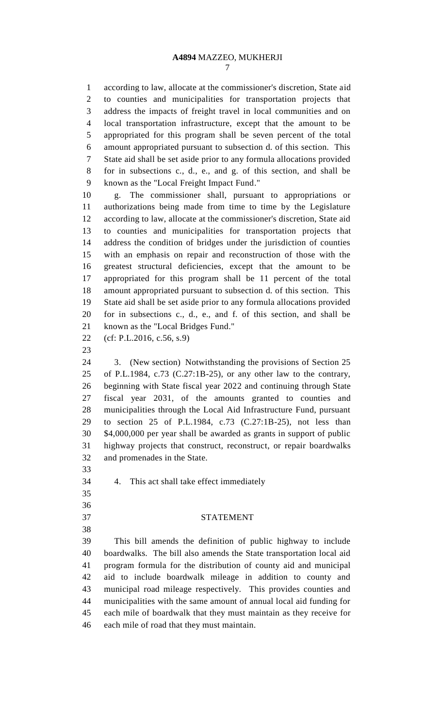according to law, allocate at the commissioner's discretion, State aid to counties and municipalities for transportation projects that address the impacts of freight travel in local communities and on local transportation infrastructure, except that the amount to be appropriated for this program shall be seven percent of the total amount appropriated pursuant to subsection d. of this section. This State aid shall be set aside prior to any formula allocations provided for in subsections c., d., e., and g. of this section, and shall be known as the "Local Freight Impact Fund."

 g. The commissioner shall, pursuant to appropriations or authorizations being made from time to time by the Legislature according to law, allocate at the commissioner's discretion, State aid to counties and municipalities for transportation projects that address the condition of bridges under the jurisdiction of counties with an emphasis on repair and reconstruction of those with the greatest structural deficiencies, except that the amount to be appropriated for this program shall be 11 percent of the total amount appropriated pursuant to subsection d. of this section. This State aid shall be set aside prior to any formula allocations provided for in subsections c., d., e., and f. of this section, and shall be known as the "Local Bridges Fund."

- (cf: P.L.2016, c.56, s.9)
- 

 3. (New section) Notwithstanding the provisions of Section 25 of P.L.1984, c.73 (C.27:1B-25), or any other law to the contrary, beginning with State fiscal year 2022 and continuing through State fiscal year 2031, of the amounts granted to counties and municipalities through the Local Aid Infrastructure Fund, pursuant to section 25 of P.L.1984, c.73 (C.27:1B-25), not less than \$4,000,000 per year shall be awarded as grants in support of public highway projects that construct, reconstruct, or repair boardwalks and promenades in the State.

- 
- 4. This act shall take effect immediately
- 

### STATEMENT

 This bill amends the definition of public highway to include boardwalks. The bill also amends the State transportation local aid program formula for the distribution of county aid and municipal aid to include boardwalk mileage in addition to county and municipal road mileage respectively. This provides counties and municipalities with the same amount of annual local aid funding for each mile of boardwalk that they must maintain as they receive for each mile of road that they must maintain.